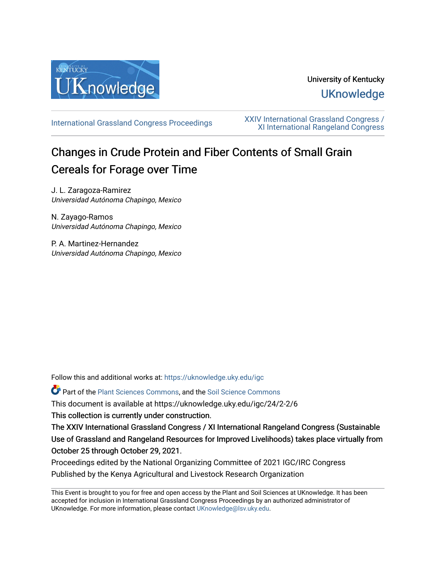

# University of Kentucky **UKnowledge**

[International Grassland Congress Proceedings](https://uknowledge.uky.edu/igc) [XXIV International Grassland Congress /](https://uknowledge.uky.edu/igc/24)  [XI International Rangeland Congress](https://uknowledge.uky.edu/igc/24) 

# Changes in Crude Protein and Fiber Contents of Small Grain Cereals for Forage over Time

J. L. Zaragoza-Ramirez Universidad Autónoma Chapingo, Mexico

N. Zayago-Ramos Universidad Autónoma Chapingo, Mexico

P. A. Martinez-Hernandez Universidad Autónoma Chapingo, Mexico

Follow this and additional works at: [https://uknowledge.uky.edu/igc](https://uknowledge.uky.edu/igc?utm_source=uknowledge.uky.edu%2Figc%2F24%2F2-2%2F6&utm_medium=PDF&utm_campaign=PDFCoverPages) 

Part of the [Plant Sciences Commons](http://network.bepress.com/hgg/discipline/102?utm_source=uknowledge.uky.edu%2Figc%2F24%2F2-2%2F6&utm_medium=PDF&utm_campaign=PDFCoverPages), and the [Soil Science Commons](http://network.bepress.com/hgg/discipline/163?utm_source=uknowledge.uky.edu%2Figc%2F24%2F2-2%2F6&utm_medium=PDF&utm_campaign=PDFCoverPages) 

This document is available at https://uknowledge.uky.edu/igc/24/2-2/6

This collection is currently under construction.

The XXIV International Grassland Congress / XI International Rangeland Congress (Sustainable Use of Grassland and Rangeland Resources for Improved Livelihoods) takes place virtually from October 25 through October 29, 2021.

Proceedings edited by the National Organizing Committee of 2021 IGC/IRC Congress Published by the Kenya Agricultural and Livestock Research Organization

This Event is brought to you for free and open access by the Plant and Soil Sciences at UKnowledge. It has been accepted for inclusion in International Grassland Congress Proceedings by an authorized administrator of UKnowledge. For more information, please contact [UKnowledge@lsv.uky.edu](mailto:UKnowledge@lsv.uky.edu).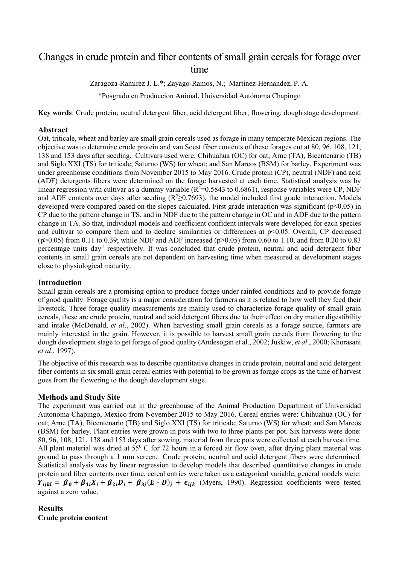## Changes in crude protein and fiber contents of small grain cereals for forage over time

Zaragoza-Ramirez J. L.\*; Zayago-Ramos, N.; Martinez-Hernandez, P. A. \*Posgrado en Produccion Animal, Universidad Autónoma Chapingo

**Key words**: Crude protein; neutral detergent fiber; acid detergent fiber; flowering; dough stage development.

#### **Abstract**

Oat, triticale, wheat and barley are small grain cereals used as forage in many temperate Mexican regions. The objective was to determine crude protein and van Soest fiber contents of these forages cut at 80, 96, 108, 121, 138 and 153 days after seeding. Cultivars used were: Chihuahua (OC) for oat; Arne (TA), Bicentenario (TB) and Siglo XXI (TS) for triticale; Saturno (WS) for wheat; and San Marcos (BSM) for barley. Experiment was under greenhouse conditions from November 2015 to May 2016. Crude protein (CP), neutral (NDF) and acid (ADF) detergents fibers were determined on the forage harvested at each time. Statistical analysis was by linear regression with cultivar as a dummy variable ( $R^2$ =0.5843 to 0.6861), response variables were CP, NDF and ADF contents over days after seeding  $(R^2 \ge 0.7693)$ , the model included first grade interaction. Models developed were compared based on the slopes calculated. First grade interaction was significant ( $p<0.05$ ) in CP due to the pattern change in TS, and in NDF due to the pattern change in OC and in ADF due to the pattern change in TA. So that, individual models and coefficient confident intervals were developed for each species and cultivar to compare them and to declare similarities or differences at p<0.05. Overall, CP decreased  $(p>0.05)$  from 0.11 to 0.39; while NDF and ADF increased  $(p>0.05)$  from 0.60 to 1.10, and from 0.20 to 0.83 percentage units day<sup>-1</sup> respectively. It was concluded that crude protein, neutral and acid detergent fiber contents in small grain cereals are not dependent on harvesting time when measured at development stages close to physiological maturity.

### **Introduction**

Small grain cereals are a promising option to produce forage under rainfed conditions and to provide forage of good quality. Forage quality is a major consideration for farmers as it is related to how well they feed their livestock. Three forage quality measurements are mainly used to characterize forage quality of small grain cereals, these are crude protein, neutral and acid detergent fibers due to their effect on dry matter digestibility and intake (McDonald, *et al*., 2002). When harvesting small grain cereals as a forage source, farmers are mainly interested in the grain. However, it is possible to harvest small grain cereals from flowering to the dough development stage to get forage of good quality (Andesogan et al., 2002; Juskiw, *et al*., 2000; Khorasani *et al*., 1997).

The objective of this research was to describe quantitative changes in crude protein, neutral and acid detergent fiber contents in six small grain cereal entries with potential to be grown as forage crops as the time of harvest goes from the flowering to the dough development stage.

## **Methods and Study Site**

The experiment was carried out in the greenhouse of the Animal Production Department of Universidad Autonoma Chapingo, Mexico from November 2015 to May 2016. Cereal entries were: Chihuahua (OC) for oat; Arne (TA), Bicentenario (TB) and Siglo XXI (TS) for triticale; Saturno (WS) for wheat; and San Marcos (BSM) for barley. Plant entries were grown in pots with two to three plants per pot. Six harvests were done: 80, 96, 108, 121, 138 and 153 days after sowing, material from three pots were collected at each harvest time. All plant material was dried at  $55^{\circ}$  C for 72 hours in a forced air flow oven, after drying plant material was ground to pass through a 1 mm screen. Crude protein, neutral and acid detergent fibers were determined. Statistical analysis was by linear regression to develop models that described quantitative changes in crude protein and fiber contents over time, cereal entries were taken as a categorical variable, general models were:  $Y_{ijkl} = \beta_0 + \beta_{1i}X_i + \beta_{2i}D_i + \beta_{3j}(E*D_j) + \epsilon_{ijk}$  (Myers, 1990). Regression coefficients were tested against a zero value.

**Results Crude protein content**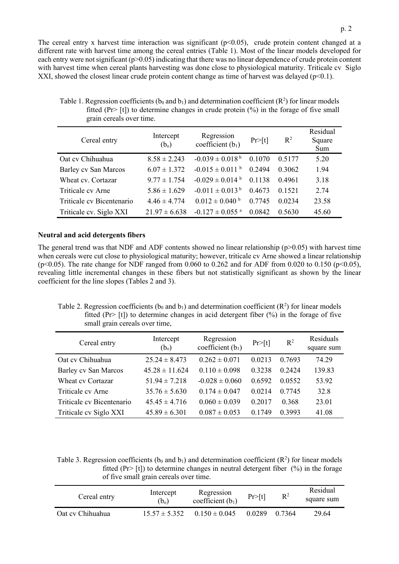The cereal entry x harvest time interaction was significant  $(p<0.05)$ , crude protein content changed at a different rate with harvest time among the cereal entries (Table 1). Most of the linear models developed for each entry were not significant (p>0.05) indicating that there was no linear dependence of crude protein content with harvest time when cereal plants harvesting was done close to physiological maturity. Triticale cv Siglo XXI, showed the closest linear crude protein content change as time of harvest was delayed  $(p<0.1)$ .

| Cereal entry                | Intercept<br>(b <sub>o</sub> ) | Regression<br>coefficient $(b_1)$ | Pr>[t] | $R^2$  | Residual<br>Square<br>Sum |
|-----------------------------|--------------------------------|-----------------------------------|--------|--------|---------------------------|
| Oat cv Chihuahua            | $8.58 \pm 2.243$               | $-0.039 \pm 0.018^{\mathrm{b}}$   | 0.1070 | 0.5177 | 5.20                      |
| <b>Barley cv San Marcos</b> | $6.07 \pm 1.372$               | $-0.015 \pm 0.011$ b              | 0.2494 | 0.3062 | 1.94                      |
| Wheat cv. Cortazar          | $9.77 \pm 1.754$               | $-0.029 \pm 0.014$ <sup>b</sup>   | 0.1138 | 0.4961 | 3.18                      |
| Triticale cv Arne           | $5.86 \pm 1.629$               | $-0.011 \pm 0.013^{\mathrm{b}}$   | 0.4673 | 0.1521 | 2.74                      |
| Triticale cv Bicentenario   | $4.46 \pm 4.774$               | $0.012 \pm 0.040$ b               | 0.7745 | 0.0234 | 23.58                     |
| Triticale cv. Siglo XXI     | $21.97 \pm 6.638$              | $-0.127 \pm 0.055$ <sup>a</sup>   | 0.0842 | 0.5630 | 45.60                     |

Table 1. Regression coefficients ( $b_0$  and  $b_1$ ) and determination coefficient ( $R^2$ ) for linear models fitted (Pr>  $[t]$ ) to determine changes in crude protein  $(\%)$  in the forage of five small grain cereals over time.

#### **Neutral and acid detergents fibers**

The general trend was that NDF and ADF contents showed no linear relationship  $(p>0.05)$  with harvest time when cereals were cut close to physiological maturity; however, triticale cv Arne showed a linear relationship (p<0.05). The rate change for NDF ranged from 0.060 to 0.262 and for ADF from 0.020 to 0.150 (p<0.05), revealing little incremental changes in these fibers but not statistically significant as shown by the linear coefficient for the line slopes (Tables 2 and 3).

Table 2. Regression coefficients ( $b_0$  and  $b_1$ ) and determination coefficient ( $R^2$ ) for linear models fitted (Pr> [t]) to determine changes in acid detergent fiber  $(\%)$  in the forage of five small grain cereals over time,

| Cereal entry                | Intercept<br>(b <sub>o</sub> ) | Regression<br>coefficient $(b_1)$ | Pr>[t] | $R^2$  | Residuals<br>square sum |
|-----------------------------|--------------------------------|-----------------------------------|--------|--------|-------------------------|
| Oat cv Chihuahua            | $25.24 \pm 8.473$              | $0.262 \pm 0.071$                 | 0.0213 | 0.7693 | 74.29                   |
| <b>Barley cv San Marcos</b> | $45.28 \pm 11.624$             | $0.110 \pm 0.098$                 | 0.3238 | 0.2424 | 139.83                  |
| Wheat cy Cortazar           | $51.94 \pm 7.218$              | $-0.028 \pm 0.060$                | 0.6592 | 0.0552 | 53.92                   |
| Triticale cv Arne           | $35.76 \pm 5.630$              | $0.174 \pm 0.047$                 | 0.0214 | 0.7745 | 32.8                    |
| Triticale cy Bicentenario   | $45.45 \pm 4.716$              | $0.060 \pm 0.039$                 | 0.2017 | 0.368  | 23.01                   |
| Triticale cv Siglo XXI      | $45.89 \pm 6.301$              | $0.087 \pm 0.053$                 | 0.1749 | 0.3993 | 41.08                   |

Table 3. Regression coefficients ( $b_0$  and  $b_1$ ) and determination coefficient ( $R^2$ ) for linear models fitted (Pr> [t]) to determine changes in neutral detergent fiber  $(%)$  in the forage of five small grain cereals over time.

| Cereal entry     | Intercept<br>$(b_0)$ | Regression<br>coefficient $(b_1)$ | Pr>[t] | $R^2$  | Residual<br>square sum |
|------------------|----------------------|-----------------------------------|--------|--------|------------------------|
| Oat cv Chihuahua | $15.57 \pm 5.352$    | $0.150 \pm 0.045$                 | 0.0289 | 0.7364 | 29.64                  |